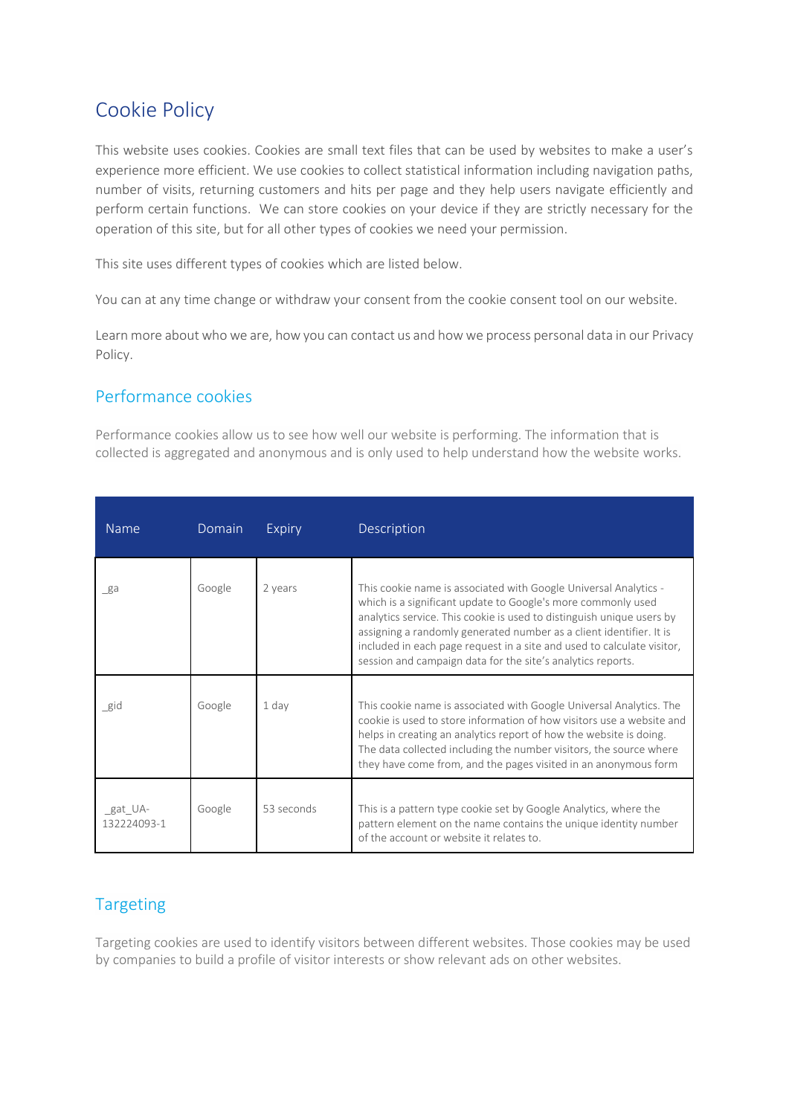## Cookie Policy

This website uses cookies. Cookies are small text files that can be used by websites to make a user's experience more efficient. We use cookies to collect statistical information including navigation paths, number of visits, returning customers and hits per page and they help users navigate efficiently and perform certain functions. We can store cookies on your device if they are strictly necessary for the operation of this site, but for all other types of cookies we need your permission.

This site uses different types of cookies which are listed below.

You can at any time change or withdraw your consent from the cookie consent tool on our website.

Learn more about who we are, how you can contact us and how we process personal data in our Privacy Policy.

## Performance cookies

Performance cookies allow us to see how well our website is performing. The information that is collected is aggregated and anonymous and is only used to help understand how the website works.

| <b>Name</b>            | Domain | Expiry     | Description                                                                                                                                                                                                                                                                                                                                                                                                               |
|------------------------|--------|------------|---------------------------------------------------------------------------------------------------------------------------------------------------------------------------------------------------------------------------------------------------------------------------------------------------------------------------------------------------------------------------------------------------------------------------|
| ga                     | Google | 2 years    | This cookie name is associated with Google Universal Analytics -<br>which is a significant update to Google's more commonly used<br>analytics service. This cookie is used to distinguish unique users by<br>assigning a randomly generated number as a client identifier. It is<br>included in each page request in a site and used to calculate visitor,<br>session and campaign data for the site's analytics reports. |
| gid                    | Google | 1 day      | This cookie name is associated with Google Universal Analytics. The<br>cookie is used to store information of how visitors use a website and<br>helps in creating an analytics report of how the website is doing.<br>The data collected including the number visitors, the source where<br>they have come from, and the pages visited in an anonymous form                                                               |
| gat UA-<br>132224093-1 | Google | 53 seconds | This is a pattern type cookie set by Google Analytics, where the<br>pattern element on the name contains the unique identity number<br>of the account or website it relates to.                                                                                                                                                                                                                                           |

## Targeting

Targeting cookies are used to identify visitors between different websites. Those cookies may be used by companies to build a profile of visitor interests or show relevant ads on other websites.